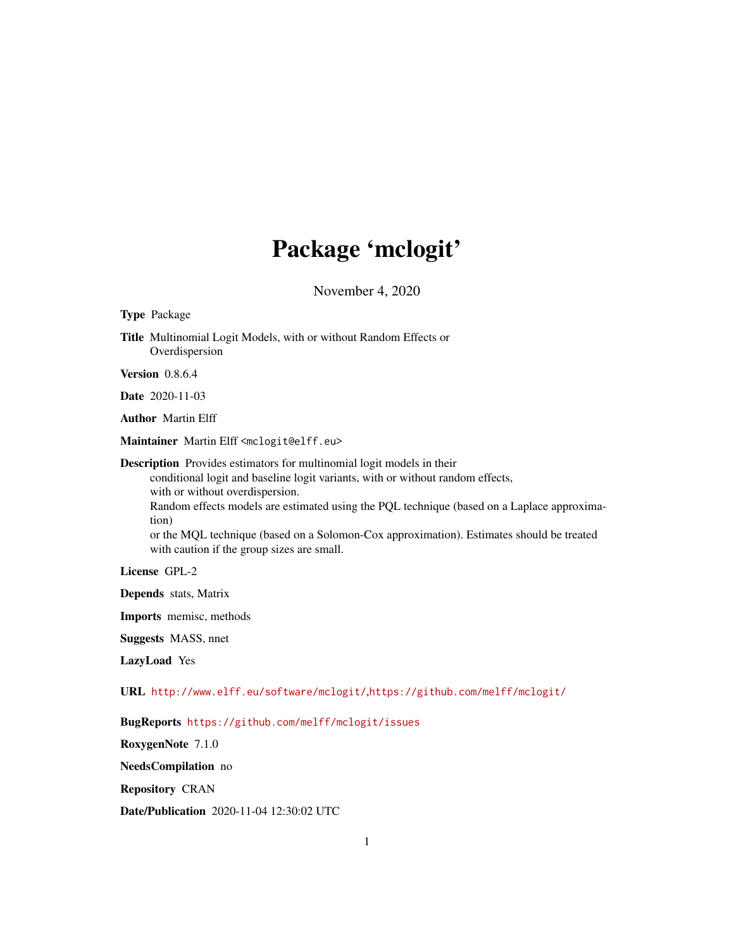# Package 'mclogit'

November 4, 2020

<span id="page-0-0"></span>

| <b>Type Package</b>                                                                                                                                                                                                                                                                                                                                                                                                                                |
|----------------------------------------------------------------------------------------------------------------------------------------------------------------------------------------------------------------------------------------------------------------------------------------------------------------------------------------------------------------------------------------------------------------------------------------------------|
| Title Multinomial Logit Models, with or without Random Effects or<br>Overdispersion                                                                                                                                                                                                                                                                                                                                                                |
| <b>Version</b> 0.8.6.4                                                                                                                                                                                                                                                                                                                                                                                                                             |
| <b>Date</b> 2020-11-03                                                                                                                                                                                                                                                                                                                                                                                                                             |
| <b>Author</b> Martin Elff                                                                                                                                                                                                                                                                                                                                                                                                                          |
| Maintainer Martin Elff <mclogit@elff.eu></mclogit@elff.eu>                                                                                                                                                                                                                                                                                                                                                                                         |
| <b>Description</b> Provides estimators for multinomial logit models in their<br>conditional logit and baseline logit variants, with or without random effects,<br>with or without overdispersion.<br>Random effects models are estimated using the PQL technique (based on a Laplace approxima-<br>tion)<br>or the MQL technique (based on a Solomon-Cox approximation). Estimates should be treated<br>with caution if the group sizes are small. |
| License GPL-2                                                                                                                                                                                                                                                                                                                                                                                                                                      |
| <b>Depends</b> stats, Matrix                                                                                                                                                                                                                                                                                                                                                                                                                       |
| <b>Imports</b> memisc, methods                                                                                                                                                                                                                                                                                                                                                                                                                     |
| <b>Suggests MASS</b> , nnet                                                                                                                                                                                                                                                                                                                                                                                                                        |
| LazyLoad Yes                                                                                                                                                                                                                                                                                                                                                                                                                                       |
| URL http://www.elff.eu/software/mclogit/,https://github.com/melff/mclogit/                                                                                                                                                                                                                                                                                                                                                                         |
| BugReports https://github.com/melff/mclogit/issues                                                                                                                                                                                                                                                                                                                                                                                                 |
| RoxygenNote 7.1.0                                                                                                                                                                                                                                                                                                                                                                                                                                  |

NeedsCompilation no

Repository CRAN

Date/Publication 2020-11-04 12:30:02 UTC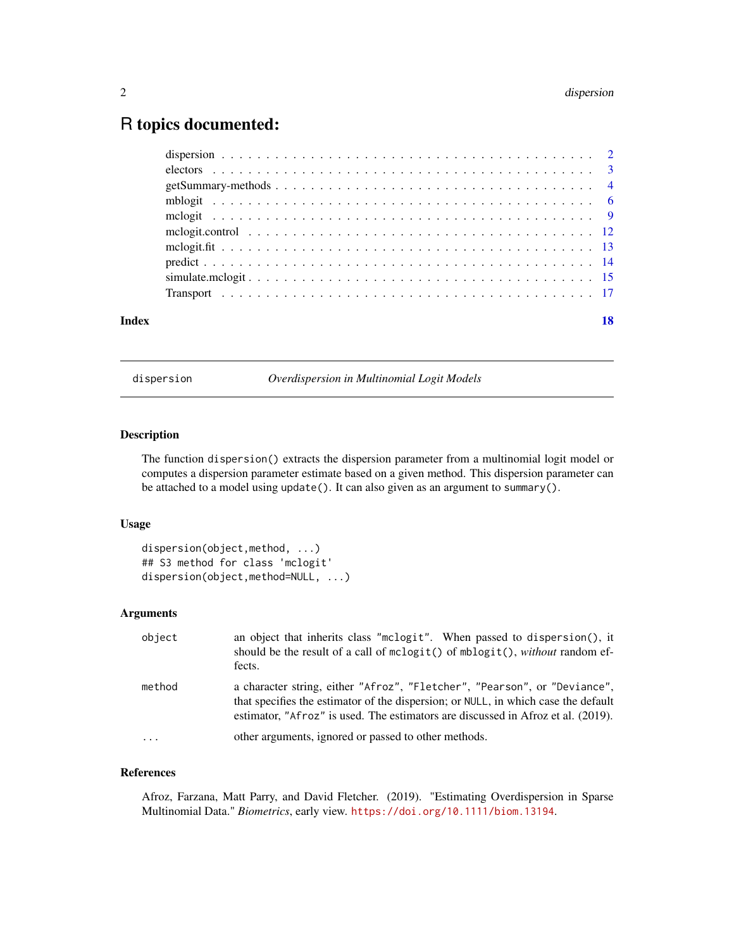# <span id="page-1-0"></span>R topics documented:

| Index | 18 |
|-------|----|
|       |    |
|       |    |
|       |    |
|       |    |
|       |    |
|       |    |
|       |    |
|       |    |
|       |    |
|       |    |

<span id="page-1-1"></span>dispersion *Overdispersion in Multinomial Logit Models*

# Description

The function dispersion() extracts the dispersion parameter from a multinomial logit model or computes a dispersion parameter estimate based on a given method. This dispersion parameter can be attached to a model using update(). It can also given as an argument to summary().

#### Usage

```
dispersion(object,method, ...)
## S3 method for class 'mclogit'
dispersion(object,method=NULL, ...)
```
# Arguments

| object  | an object that inherits class "mclogit". When passed to dispersion(), it<br>should be the result of a call of $mclogit()$ of $mblogit()$ , without random ef-<br>fects.                                                                             |
|---------|-----------------------------------------------------------------------------------------------------------------------------------------------------------------------------------------------------------------------------------------------------|
| method  | a character string, either "Afroz", "Fletcher", "Pearson", or "Deviance",<br>that specifies the estimator of the dispersion; or NULL, in which case the default<br>estimator, "Afroz" is used. The estimators are discussed in Afroz et al. (2019). |
| $\cdot$ | other arguments, ignored or passed to other methods.                                                                                                                                                                                                |

# References

Afroz, Farzana, Matt Parry, and David Fletcher. (2019). "Estimating Overdispersion in Sparse Multinomial Data." *Biometrics*, early view. <https://doi.org/10.1111/biom.13194>.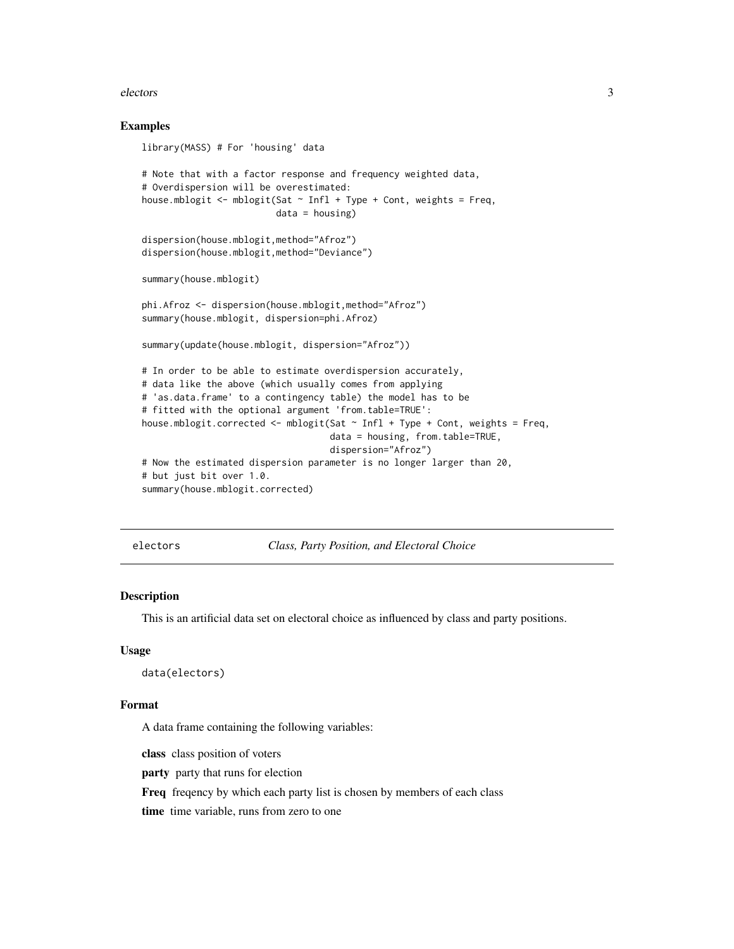#### <span id="page-2-0"></span>electors 3

#### Examples

```
library(MASS) # For 'housing' data
# Note that with a factor response and frequency weighted data,
# Overdispersion will be overestimated:
house.mblogit \leq mblogit(Sat \sim Infl + Type + Cont, weights = Freq,
                         data = housing)
dispersion(house.mblogit,method="Afroz")
dispersion(house.mblogit,method="Deviance")
summary(house.mblogit)
phi.Afroz <- dispersion(house.mblogit,method="Afroz")
summary(house.mblogit, dispersion=phi.Afroz)
summary(update(house.mblogit, dispersion="Afroz"))
# In order to be able to estimate overdispersion accurately,
# data like the above (which usually comes from applying
# 'as.data.frame' to a contingency table) the model has to be
# fitted with the optional argument 'from.table=TRUE':
house.mblogit.corrected <- mblogit(Sat ~ Infl + Type + Cont, weights = Freq,
                                   data = housing, from.table=TRUE,
                                   dispersion="Afroz")
# Now the estimated dispersion parameter is no longer larger than 20,
# but just bit over 1.0.
summary(house.mblogit.corrected)
```
electors *Class, Party Position, and Electoral Choice*

#### Description

This is an artificial data set on electoral choice as influenced by class and party positions.

#### Usage

```
data(electors)
```
#### Format

A data frame containing the following variables:

class class position of voters

party party that runs for election

Freq freqency by which each party list is chosen by members of each class

time time variable, runs from zero to one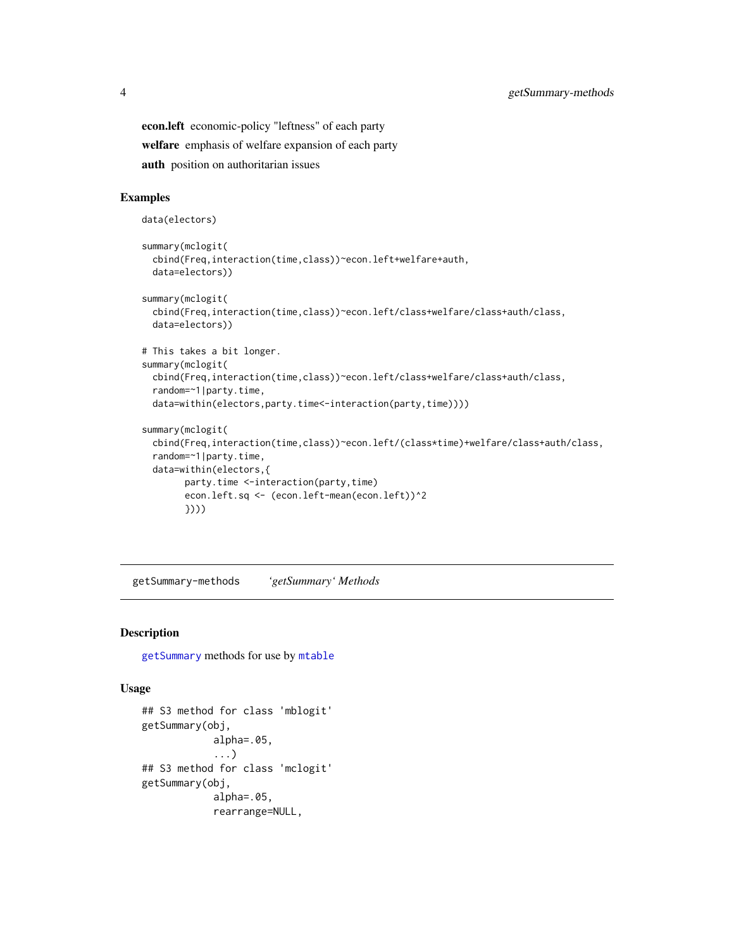<span id="page-3-0"></span>econ.left economic-policy "leftness" of each party welfare emphasis of welfare expansion of each party auth position on authoritarian issues

# Examples

```
data(electors)
summary(mclogit(
  cbind(Freq,interaction(time,class))~econ.left+welfare+auth,
  data=electors))
summary(mclogit(
  cbind(Freq,interaction(time,class))~econ.left/class+welfare/class+auth/class,
  data=electors))
# This takes a bit longer.
summary(mclogit(
  cbind(Freq,interaction(time,class))~econ.left/class+welfare/class+auth/class,
  random=~1|party.time,
  data=within(electors,party.time<-interaction(party,time))))
summary(mclogit(
  cbind(Freq,interaction(time,class))~econ.left/(class*time)+welfare/class+auth/class,
  random=~1|party.time,
  data=within(electors,{
        party.time <-interaction(party,time)
        econ.left.sq <- (econ.left-mean(econ.left))^2
        })))
```
getSummary-methods *'getSummary' Methods*

## Description

[getSummary](#page-0-0) methods for use by [mtable](#page-0-0)

# Usage

```
## S3 method for class 'mblogit'
getSummary(obj,
            alpha=.05,
            ...)
## S3 method for class 'mclogit'
getSummary(obj,
            alpha=.05,
            rearrange=NULL,
```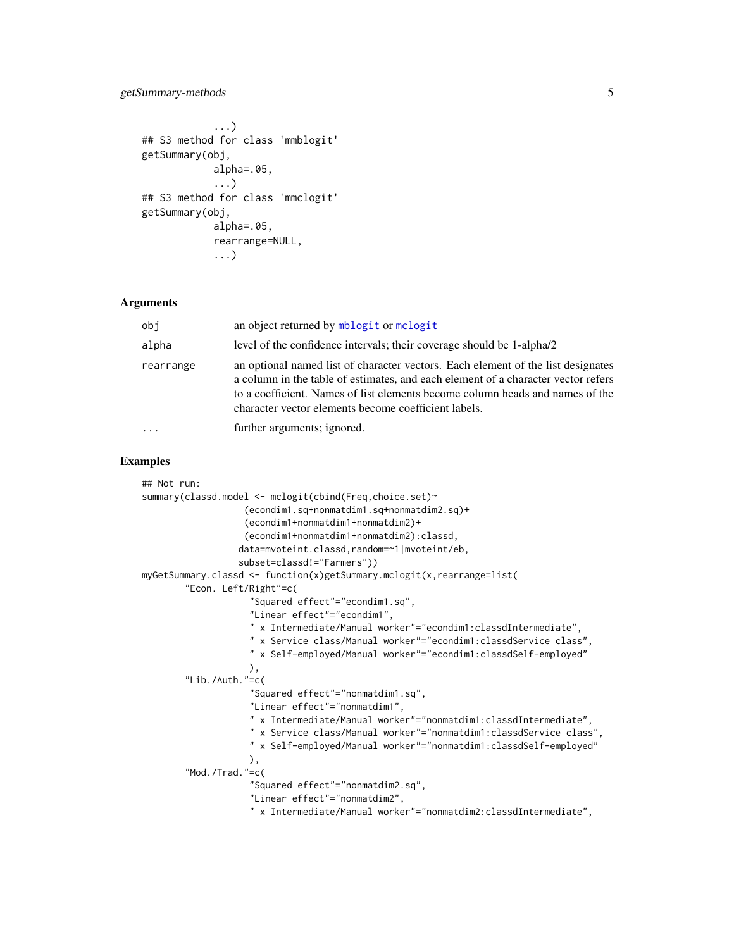### <span id="page-4-0"></span>getSummary-methods 5

```
...)
## S3 method for class 'mmblogit'
getSummary(obj,
            alpha=.05,
            ...)
## S3 method for class 'mmclogit'
getSummary(obj,
            alpha=.05,
            rearrange=NULL,
            ...)
```
#### Arguments

| obi       | an object returned by mblogit or mclogit                                                                                                                                                                                                                                                                       |
|-----------|----------------------------------------------------------------------------------------------------------------------------------------------------------------------------------------------------------------------------------------------------------------------------------------------------------------|
| alpha     | level of the confidence intervals; their coverage should be 1-alpha/2                                                                                                                                                                                                                                          |
| rearrange | an optional named list of character vectors. Each element of the list designates<br>a column in the table of estimates, and each element of a character vector refers<br>to a coefficient. Names of list elements become column heads and names of the<br>character vector elements become coefficient labels. |
| $\ddotsc$ | further arguments; ignored.                                                                                                                                                                                                                                                                                    |

# Examples

```
## Not run:
summary(classd.model <- mclogit(cbind(Freq,choice.set)~
                   (econdim1.sq+nonmatdim1.sq+nonmatdim2.sq)+
                   (econdim1+nonmatdim1+nonmatdim2)+
                   (econdim1+nonmatdim1+nonmatdim2):classd,
                  data=mvoteint.classd,random=~1|mvoteint/eb,
                  subset=classd!="Farmers"))
myGetSummary.classd <- function(x)getSummary.mclogit(x,rearrange=list(
        "Econ. Left/Right"=c(
                    "Squared effect"="econdim1.sq",
                    "Linear effect"="econdim1",
                    " x Intermediate/Manual worker"="econdim1:classdIntermediate",
                    " x Service class/Manual worker"="econdim1:classdService class",
                    " x Self-employed/Manual worker"="econdim1:classdSelf-employed"
                    ),
        "Lib./Auth."=c(
                    "Squared effect"="nonmatdim1.sq",
                    "Linear effect"="nonmatdim1",
                    " x Intermediate/Manual worker"="nonmatdim1:classdIntermediate",
                    " x Service class/Manual worker"="nonmatdim1:classdService class",
                    " x Self-employed/Manual worker"="nonmatdim1:classdSelf-employed"
                    ),
        "Mod./Trad."=c(
                    "Squared effect"="nonmatdim2.sq",
                    "Linear effect"="nonmatdim2",
                    " x Intermediate/Manual worker"="nonmatdim2:classdIntermediate",
```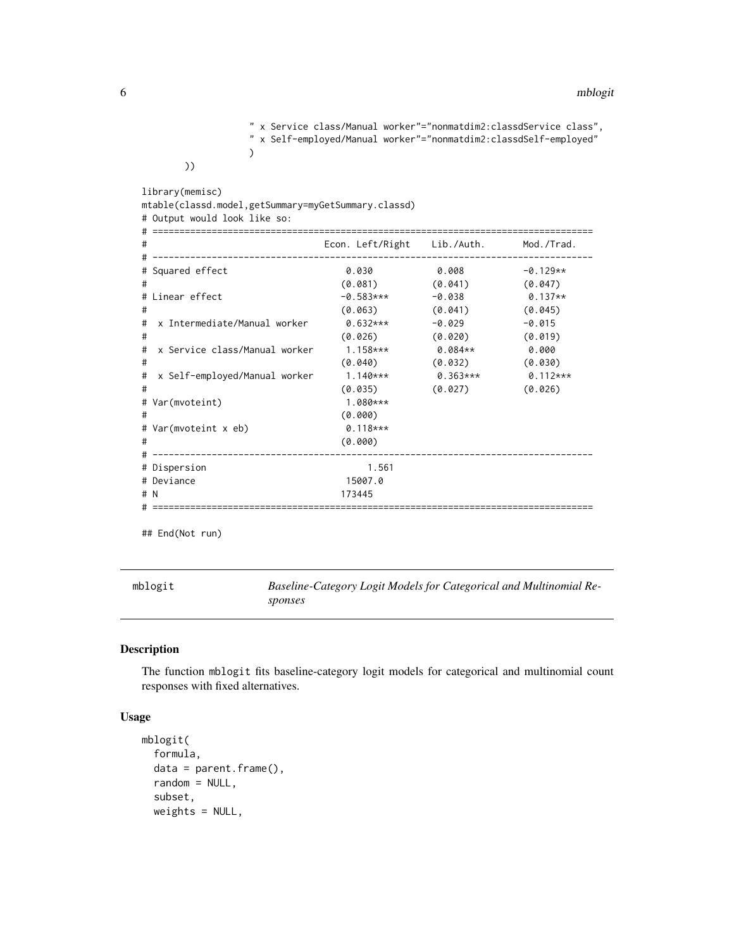```
" x Service class/Manual worker"="nonmatdim2:classdService class",
" x Self-employed/Manual worker"="nonmatdim2:classdSelf-employed"
)
```
))

| library(memisc)<br>mtable(classd.model,getSummary=myGetSummary.classd)<br># Output would look like so: |                             |            |            |
|--------------------------------------------------------------------------------------------------------|-----------------------------|------------|------------|
|                                                                                                        |                             |            |            |
| #                                                                                                      | Econ. Left/Right Lib./Auth. |            | Mod./Trad. |
| # Squared effect                                                                                       | 0.030                       | 0.008      | $-0.129**$ |
| #                                                                                                      | (0.081)                     | (0.041)    | (0.047)    |
| # Linear effect                                                                                        | $-0.583***$                 | -0.038     | $0.137**$  |
| #                                                                                                      | (0.063)                     | (0.041)    | (0.045)    |
| x Intermediate/Manual worker<br>#                                                                      | 0.632***                    | -0.029     | $-0.015$   |
| #                                                                                                      | (0.026)                     | (0.020)    | (0.019)    |
| x Service class/Manual worker<br>#                                                                     | $1.158***$                  | 0.084**    | 0.000      |
| #                                                                                                      | (0.040)                     | (0.032)    | (0.030)    |
| x Self-employed/Manual worker<br>#                                                                     | $1.140***$                  | $0.363***$ | $0.112***$ |
| #                                                                                                      | (0.035)                     | (0.027)    | (0.026)    |
| # Var(mvoteint)                                                                                        | $1.080***$                  |            |            |
| #                                                                                                      | (0.000)                     |            |            |
| # Var(mvoteint x eb)                                                                                   | $0.118***$                  |            |            |
| #                                                                                                      | (0.000)                     |            |            |
| ---------------------------------                                                                      |                             |            |            |
| # Dispersion                                                                                           | 1.561                       |            |            |
| # Deviance                                                                                             | 15007.0                     |            |            |
| # N                                                                                                    | 173445                      |            |            |
|                                                                                                        |                             |            |            |

## End(Not run)

<span id="page-5-1"></span>mblogit *Baseline-Category Logit Models for Categorical and Multinomial Responses*

# Description

The function mblogit fits baseline-category logit models for categorical and multinomial count responses with fixed alternatives.

# Usage

```
mblogit(
  formula,
  data = parent.frame(),
  random = NULL,
  subset,
  weights = NULL,
```
<span id="page-5-0"></span>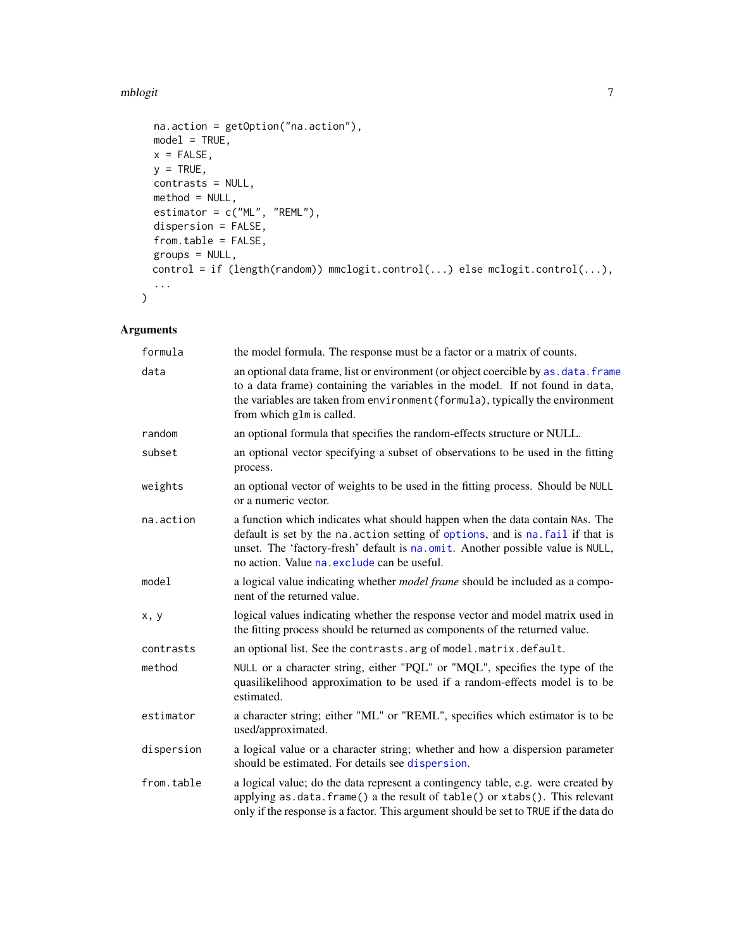#### <span id="page-6-0"></span>mblogit **7**

```
na.action = getOption("na.action"),
 model = TRUE,x = FALSE,
 y = TRUE,contrasts = NULL,
 method = NULL,
 estimator = c("ML", "REML"),dispersion = FALSE,
  from.table = FALSE,
 groups = NULL,
 control = if (length(random)) mmclogit.control(...) else mclogit.control(...),
  ...
\mathcal{L}
```
# Arguments

| formula    | the model formula. The response must be a factor or a matrix of counts.                                                                                                                                                                                                                         |
|------------|-------------------------------------------------------------------------------------------------------------------------------------------------------------------------------------------------------------------------------------------------------------------------------------------------|
| data       | an optional data frame, list or environment (or object coercible by as . data. frame<br>to a data frame) containing the variables in the model. If not found in data,<br>the variables are taken from environment (formula), typically the environment<br>from which glm is called.             |
| random     | an optional formula that specifies the random-effects structure or NULL.                                                                                                                                                                                                                        |
| subset     | an optional vector specifying a subset of observations to be used in the fitting<br>process.                                                                                                                                                                                                    |
| weights    | an optional vector of weights to be used in the fitting process. Should be NULL<br>or a numeric vector.                                                                                                                                                                                         |
| na.action  | a function which indicates what should happen when the data contain NAs. The<br>default is set by the na. action setting of options, and is na. fail if that is<br>unset. The 'factory-fresh' default is na.omit. Another possible value is NULL,<br>no action. Value na exclude can be useful. |
| model      | a logical value indicating whether <i>model frame</i> should be included as a compo-<br>nent of the returned value.                                                                                                                                                                             |
| x, y       | logical values indicating whether the response vector and model matrix used in<br>the fitting process should be returned as components of the returned value.                                                                                                                                   |
| contrasts  | an optional list. See the contrasts. arg of model. matrix. default.                                                                                                                                                                                                                             |
| method     | NULL or a character string, either "PQL" or "MQL", specifies the type of the<br>quasilikelihood approximation to be used if a random-effects model is to be<br>estimated.                                                                                                                       |
| estimator  | a character string; either "ML" or "REML", specifies which estimator is to be<br>used/approximated.                                                                                                                                                                                             |
| dispersion | a logical value or a character string; whether and how a dispersion parameter<br>should be estimated. For details see dispersion.                                                                                                                                                               |
| from.table | a logical value; do the data represent a contingency table, e.g. were created by<br>applying as.data.frame() a the result of table() or xtabs(). This relevant<br>only if the response is a factor. This argument should be set to TRUE if the data do                                          |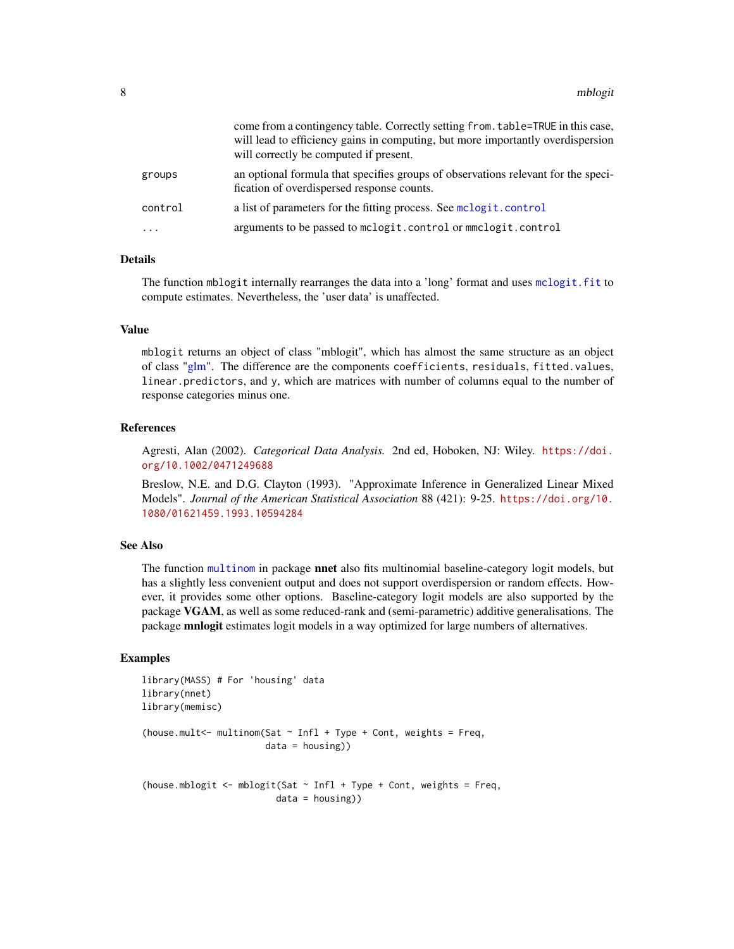<span id="page-7-0"></span>

|         | come from a contingency table. Correctly setting from. table=TRUE in this case,<br>will lead to efficiency gains in computing, but more importantly overdispersion<br>will correctly be computed if present. |
|---------|--------------------------------------------------------------------------------------------------------------------------------------------------------------------------------------------------------------|
| groups  | an optional formula that specifies groups of observations relevant for the speci-<br>fication of overdispersed response counts.                                                                              |
| control | a list of parameters for the fitting process. See mclogit.control                                                                                                                                            |
| .       | arguments to be passed to mclogit.control or mmclogit.control                                                                                                                                                |

### Details

The function mblogit internally rearranges the data into a 'long' format and uses [mclogit.fit](#page-12-1) to compute estimates. Nevertheless, the 'user data' is unaffected.

## Value

mblogit returns an object of class "mblogit", which has almost the same structure as an object of class ["glm"](#page-0-0). The difference are the components coefficients, residuals, fitted.values, linear.predictors, and y, which are matrices with number of columns equal to the number of response categories minus one.

# References

Agresti, Alan (2002). *Categorical Data Analysis.* 2nd ed, Hoboken, NJ: Wiley. [https://doi.](https://doi.org/10.1002/0471249688) [org/10.1002/0471249688](https://doi.org/10.1002/0471249688)

Breslow, N.E. and D.G. Clayton (1993). "Approximate Inference in Generalized Linear Mixed Models". *Journal of the American Statistical Association* 88 (421): 9-25. [https://doi.org/10.](https://doi.org/10.1080/01621459.1993.10594284) [1080/01621459.1993.10594284](https://doi.org/10.1080/01621459.1993.10594284)

#### See Also

The function [multinom](#page-0-0) in package **nnet** also fits multinomial baseline-category logit models, but has a slightly less convenient output and does not support overdispersion or random effects. However, it provides some other options. Baseline-category logit models are also supported by the package VGAM, as well as some reduced-rank and (semi-parametric) additive generalisations. The package mnlogit estimates logit models in a way optimized for large numbers of alternatives.

#### Examples

```
library(MASS) # For 'housing' data
library(nnet)
library(memisc)
(house.mult<- multinom(Sat \sim Infl + Type + Cont, weights = Freq,
                       data = housing))
(house.mblogit \leq mblogit(Sat \sim Infl + Type + Cont, weights = Freq,
                          data = housing))
```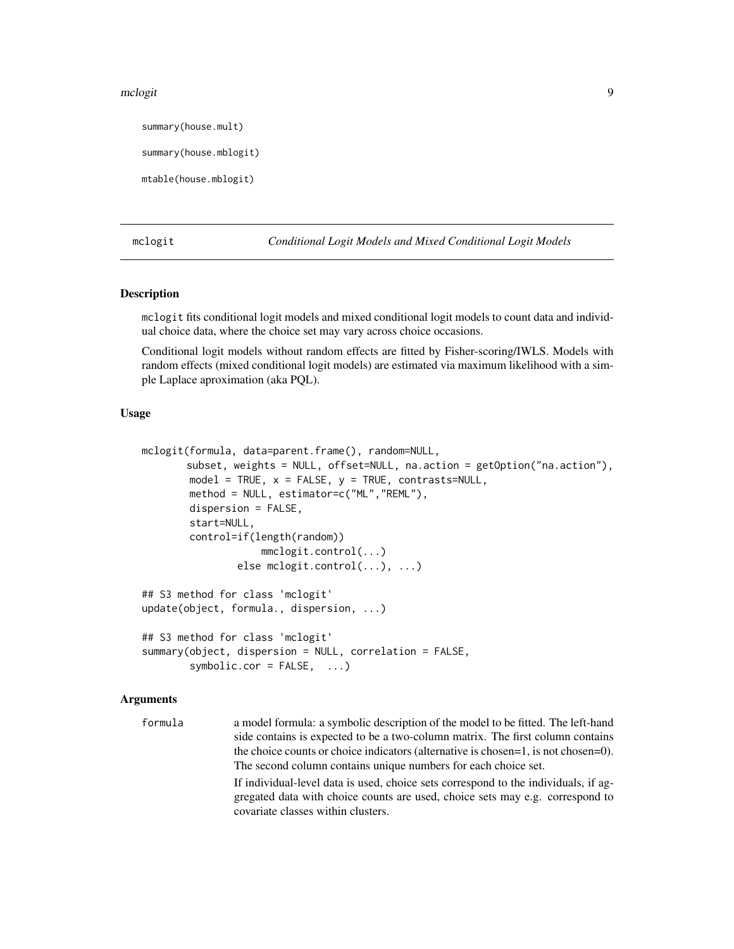#### <span id="page-8-0"></span>mclogit 9

summary(house.mult)

```
summary(house.mblogit)
```
mtable(house.mblogit)

<span id="page-8-1"></span>mclogit *Conditional Logit Models and Mixed Conditional Logit Models*

#### Description

mclogit fits conditional logit models and mixed conditional logit models to count data and individual choice data, where the choice set may vary across choice occasions.

Conditional logit models without random effects are fitted by Fisher-scoring/IWLS. Models with random effects (mixed conditional logit models) are estimated via maximum likelihood with a simple Laplace aproximation (aka PQL).

#### Usage

```
mclogit(formula, data=parent.frame(), random=NULL,
       subset, weights = NULL, offset=NULL, na.action = getOption("na.action"),
       model = TRUE, x = FALSE, y = TRUE, contrasts=NULL,
       method = NULL, estimator=c("ML","REML"),
       dispersion = FALSE,
       start=NULL,
        control=if(length(random))
                    mmclogit.control(...)
                else mclogit.control(...), ...)
## S3 method for class 'mclogit'
update(object, formula., dispersion, ...)
## S3 method for class 'mclogit'
summary(object, dispersion = NULL, correlation = FALSE,
        symbolic.cor = FALSE, ...)
```
# Arguments

formula a model formula: a symbolic description of the model to be fitted. The left-hand side contains is expected to be a two-column matrix. The first column contains the choice counts or choice indicators (alternative is chosen=1, is not chosen=0). The second column contains unique numbers for each choice set. If individual-level data is used, choice sets correspond to the individuals, if ag-

gregated data with choice counts are used, choice sets may e.g. correspond to covariate classes within clusters.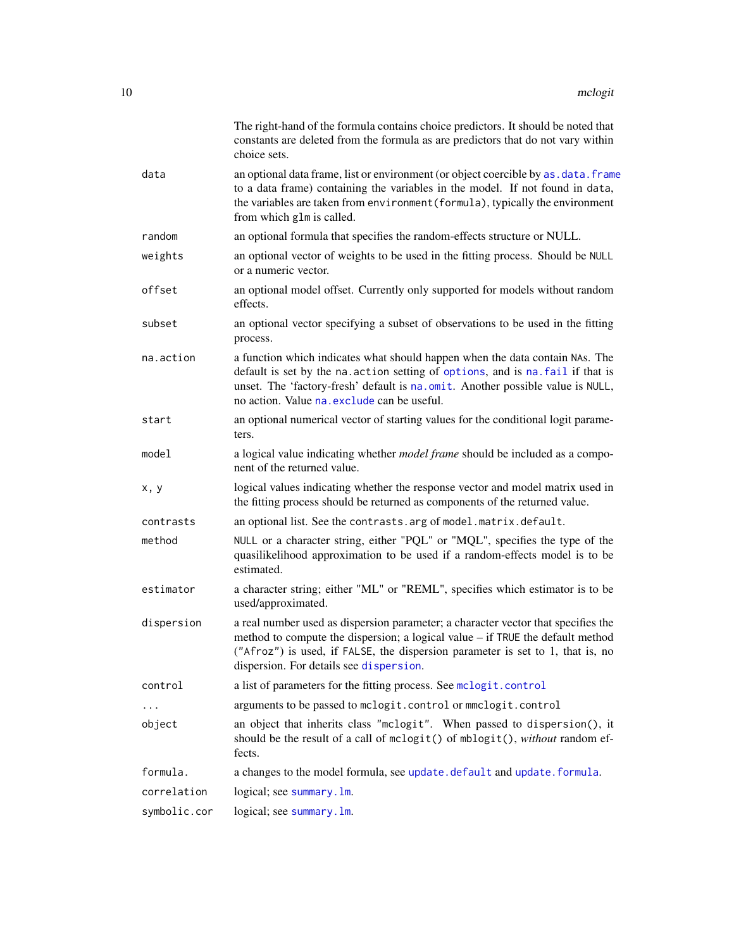<span id="page-9-0"></span>

|              | The right-hand of the formula contains choice predictors. It should be noted that<br>constants are deleted from the formula as are predictors that do not vary within<br>choice sets.                                                                                                            |
|--------------|--------------------------------------------------------------------------------------------------------------------------------------------------------------------------------------------------------------------------------------------------------------------------------------------------|
| data         | an optional data frame, list or environment (or object coercible by as . data. frame<br>to a data frame) containing the variables in the model. If not found in data,<br>the variables are taken from environment (formula), typically the environment<br>from which glm is called.              |
| random       | an optional formula that specifies the random-effects structure or NULL.                                                                                                                                                                                                                         |
| weights      | an optional vector of weights to be used in the fitting process. Should be NULL<br>or a numeric vector.                                                                                                                                                                                          |
| offset       | an optional model offset. Currently only supported for models without random<br>effects.                                                                                                                                                                                                         |
| subset       | an optional vector specifying a subset of observations to be used in the fitting<br>process.                                                                                                                                                                                                     |
| na.action    | a function which indicates what should happen when the data contain NAs. The<br>default is set by the na. action setting of options, and is na. fail if that is<br>unset. The 'factory-fresh' default is na.omit. Another possible value is NULL,<br>no action. Value na. exclude can be useful. |
| start        | an optional numerical vector of starting values for the conditional logit parame-<br>ters.                                                                                                                                                                                                       |
| model        | a logical value indicating whether <i>model frame</i> should be included as a compo-<br>nent of the returned value.                                                                                                                                                                              |
| x, y         | logical values indicating whether the response vector and model matrix used in<br>the fitting process should be returned as components of the returned value.                                                                                                                                    |
| contrasts    | an optional list. See the contrasts. arg of model. matrix. default.                                                                                                                                                                                                                              |
| method       | NULL or a character string, either "PQL" or "MQL", specifies the type of the<br>quasilikelihood approximation to be used if a random-effects model is to be<br>estimated.                                                                                                                        |
| estimator    | a character string; either "ML" or "REML", specifies which estimator is to be<br>used/approximated.                                                                                                                                                                                              |
| dispersion   | a real number used as dispersion parameter; a character vector that specifies the<br>method to compute the dispersion; a logical value – if TRUE the default method<br>("Afroz") is used, if FALSE, the dispersion parameter is set to 1, that is, no<br>dispersion. For details see dispersion. |
| control      | a list of parameters for the fitting process. See mclogit.control                                                                                                                                                                                                                                |
|              | arguments to be passed to mclogit.control or mmclogit.control                                                                                                                                                                                                                                    |
| object       | an object that inherits class "mclogit". When passed to dispersion(), it<br>should be the result of a call of mclogit() of mblogit(), without random ef-<br>fects.                                                                                                                               |
| formula.     | a changes to the model formula, see update.default and update.formula.                                                                                                                                                                                                                           |
| correlation  | logical; see summary. 1m.                                                                                                                                                                                                                                                                        |
| symbolic.cor | logical; see summary. 1m.                                                                                                                                                                                                                                                                        |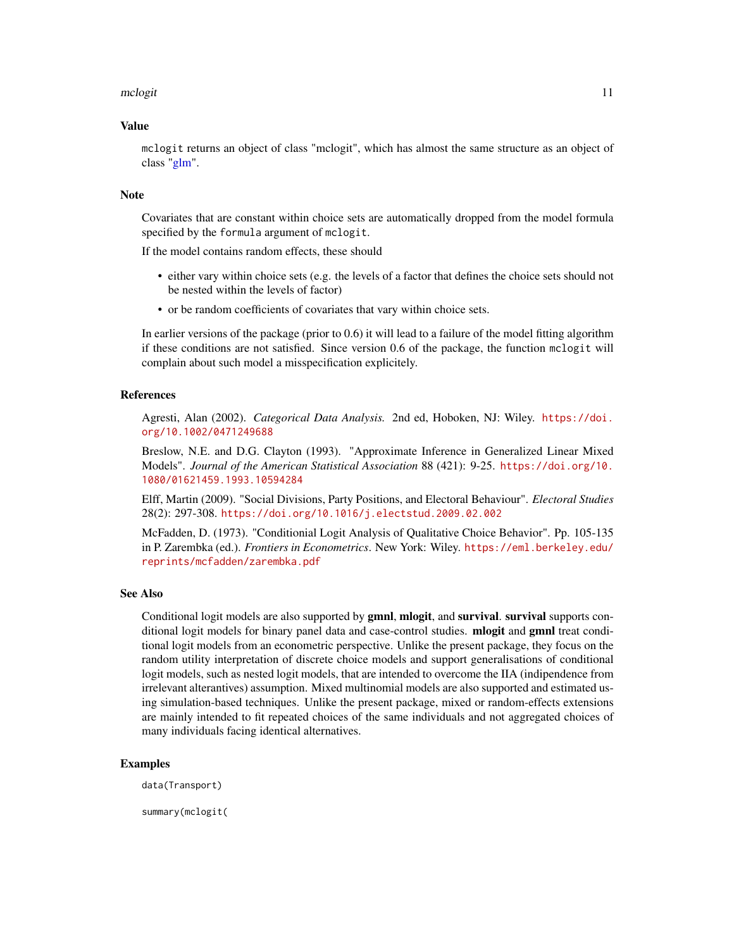#### <span id="page-10-0"></span>mclogit the contract of the contract of the contract of the contract of the contract of the contract of the contract of the contract of the contract of the contract of the contract of the contract of the contract of the co

#### Value

mclogit returns an object of class "mclogit", which has almost the same structure as an object of class ["glm"](#page-0-0).

#### Note

Covariates that are constant within choice sets are automatically dropped from the model formula specified by the formula argument of mclogit.

If the model contains random effects, these should

- either vary within choice sets (e.g. the levels of a factor that defines the choice sets should not be nested within the levels of factor)
- or be random coefficients of covariates that vary within choice sets.

In earlier versions of the package (prior to 0.6) it will lead to a failure of the model fitting algorithm if these conditions are not satisfied. Since version 0.6 of the package, the function mclogit will complain about such model a misspecification explicitely.

#### References

Agresti, Alan (2002). *Categorical Data Analysis.* 2nd ed, Hoboken, NJ: Wiley. [https://doi.](https://doi.org/10.1002/0471249688) [org/10.1002/0471249688](https://doi.org/10.1002/0471249688)

Breslow, N.E. and D.G. Clayton (1993). "Approximate Inference in Generalized Linear Mixed Models". *Journal of the American Statistical Association* 88 (421): 9-25. [https://doi.org/10.](https://doi.org/10.1080/01621459.1993.10594284) [1080/01621459.1993.10594284](https://doi.org/10.1080/01621459.1993.10594284)

Elff, Martin (2009). "Social Divisions, Party Positions, and Electoral Behaviour". *Electoral Studies* 28(2): 297-308. <https://doi.org/10.1016/j.electstud.2009.02.002>

McFadden, D. (1973). "Conditionial Logit Analysis of Qualitative Choice Behavior". Pp. 105-135 in P. Zarembka (ed.). *Frontiers in Econometrics*. New York: Wiley. [https://eml.berkeley.edu/](https://eml.berkeley.edu/reprints/mcfadden/zarembka.pdf) [reprints/mcfadden/zarembka.pdf](https://eml.berkeley.edu/reprints/mcfadden/zarembka.pdf)

#### See Also

Conditional logit models are also supported by **gmnl, mlogit, and survival, survival** supports conditional logit models for binary panel data and case-control studies. mlogit and gmnl treat conditional logit models from an econometric perspective. Unlike the present package, they focus on the random utility interpretation of discrete choice models and support generalisations of conditional logit models, such as nested logit models, that are intended to overcome the IIA (indipendence from irrelevant alterantives) assumption. Mixed multinomial models are also supported and estimated using simulation-based techniques. Unlike the present package, mixed or random-effects extensions are mainly intended to fit repeated choices of the same individuals and not aggregated choices of many individuals facing identical alternatives.

#### Examples

data(Transport)

summary(mclogit(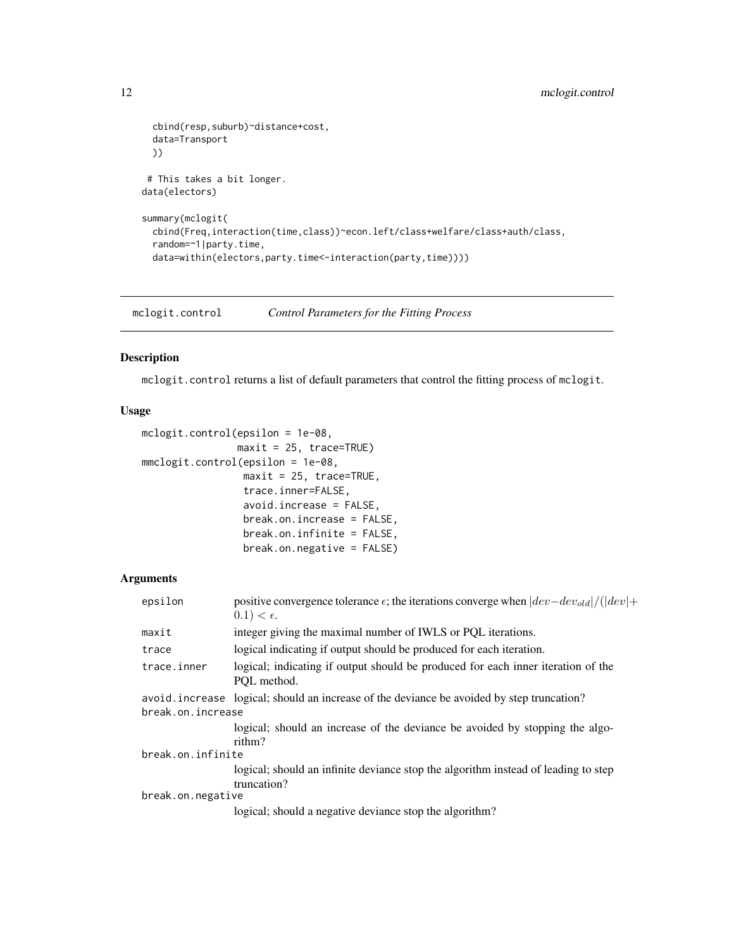```
cbind(resp,suburb)~distance+cost,
 data=Transport
 ))
# This takes a bit longer.
data(electors)
summary(mclogit(
 cbind(Freq,interaction(time,class))~econ.left/class+welfare/class+auth/class,
 random=~1|party.time,
 data=within(electors,party.time<-interaction(party,time))))
```
<span id="page-11-1"></span>mclogit.control *Control Parameters for the Fitting Process*

### Description

mclogit.control returns a list of default parameters that control the fitting process of mclogit.

#### Usage

```
mclogit.control(epsilon = 1e-08,
                maxit = 25, trace=TRUE)
mmclogit.control(epsilon = 1e-08,
                 maxit = 25, trace=TRUE,
                 trace.inner=FALSE,
                 avoid.increase = FALSE,
                 break.on.increase = FALSE,
                 break.on.infinite = FALSE,
                 break.on.negative = FALSE)
```
#### Arguments

| epsilon           | positive convergence tolerance $\epsilon$ ; the iterations converge when $ dev-dev_{old} /( dev +$<br>$0.1) < \epsilon.$ |  |  |  |  |
|-------------------|--------------------------------------------------------------------------------------------------------------------------|--|--|--|--|
| maxit             | integer giving the maximal number of IWLS or PQL iterations.                                                             |  |  |  |  |
| trace             | logical indicating if output should be produced for each iteration.                                                      |  |  |  |  |
| trace.inner       | logical; indicating if output should be produced for each inner iteration of the<br>POL method.                          |  |  |  |  |
|                   | avoid increase logical; should an increase of the deviance be avoided by step truncation?                                |  |  |  |  |
| break.on.increase |                                                                                                                          |  |  |  |  |
|                   | logical; should an increase of the deviance be avoided by stopping the algo-                                             |  |  |  |  |
|                   | rithm?                                                                                                                   |  |  |  |  |
| break.on.infinite |                                                                                                                          |  |  |  |  |
|                   | logical; should an infinite deviance stop the algorithm instead of leading to step                                       |  |  |  |  |
|                   | truncation?                                                                                                              |  |  |  |  |
| break.on.negative |                                                                                                                          |  |  |  |  |
|                   | logical; should a negative deviance stop the algorithm?                                                                  |  |  |  |  |

<span id="page-11-0"></span>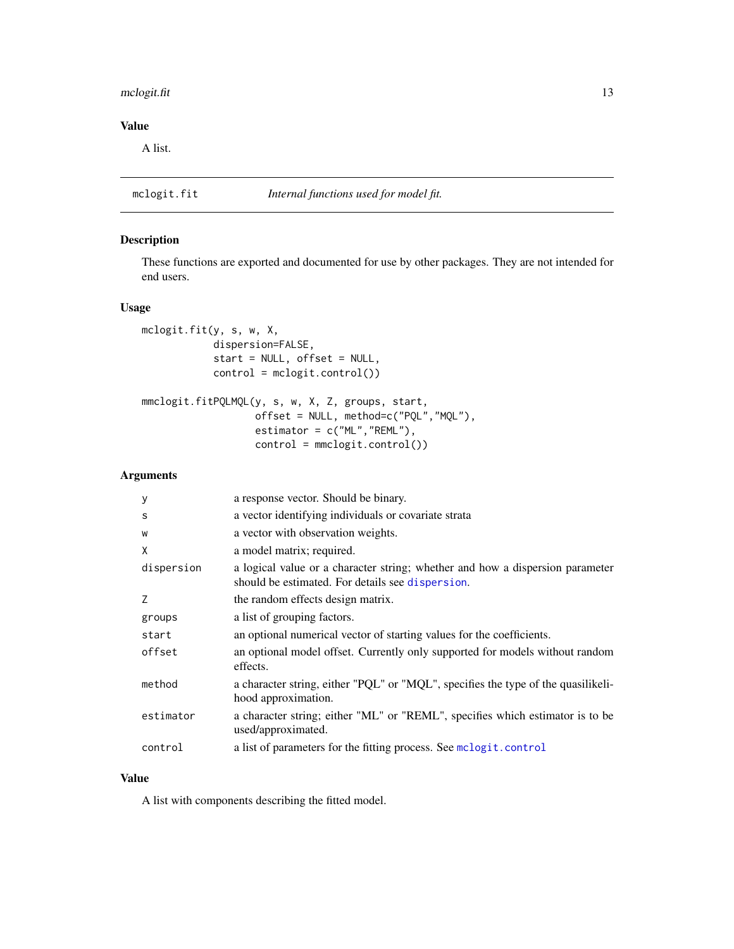# <span id="page-12-0"></span>mclogit.fit 13

# Value

A list.

# <span id="page-12-1"></span>mclogit.fit *Internal functions used for model fit.*

# Description

These functions are exported and documented for use by other packages. They are not intended for end users.

#### Usage

```
mclogit.fit(y, s, w, X,
            dispersion=FALSE,
            start = NULL, offset = NULL,
            control = mclogit.control())
mmclogit.fitPQLMQL(y, s, w, X, Z, groups, start,
                   offset = NULL, method=c("PQL","MQL"),
                   estimator = c("ML","REML"),
```
control = mmclogit.control())

#### Arguments

| y          | a response vector. Should be binary.                                                                                              |
|------------|-----------------------------------------------------------------------------------------------------------------------------------|
| S          | a vector identifying individuals or covariate strata                                                                              |
| W          | a vector with observation weights.                                                                                                |
| X          | a model matrix; required.                                                                                                         |
| dispersion | a logical value or a character string; whether and how a dispersion parameter<br>should be estimated. For details see dispersion. |
| 7          | the random effects design matrix.                                                                                                 |
| groups     | a list of grouping factors.                                                                                                       |
| start      | an optional numerical vector of starting values for the coefficients.                                                             |
| offset     | an optional model offset. Currently only supported for models without random<br>effects.                                          |
| method     | a character string, either "PQL" or "MQL", specifies the type of the quasilikeli-<br>hood approximation.                          |
| estimator  | a character string; either "ML" or "REML", specifies which estimator is to be<br>used/approximated.                               |
| control    | a list of parameters for the fitting process. See mclogit.control                                                                 |

# Value

A list with components describing the fitted model.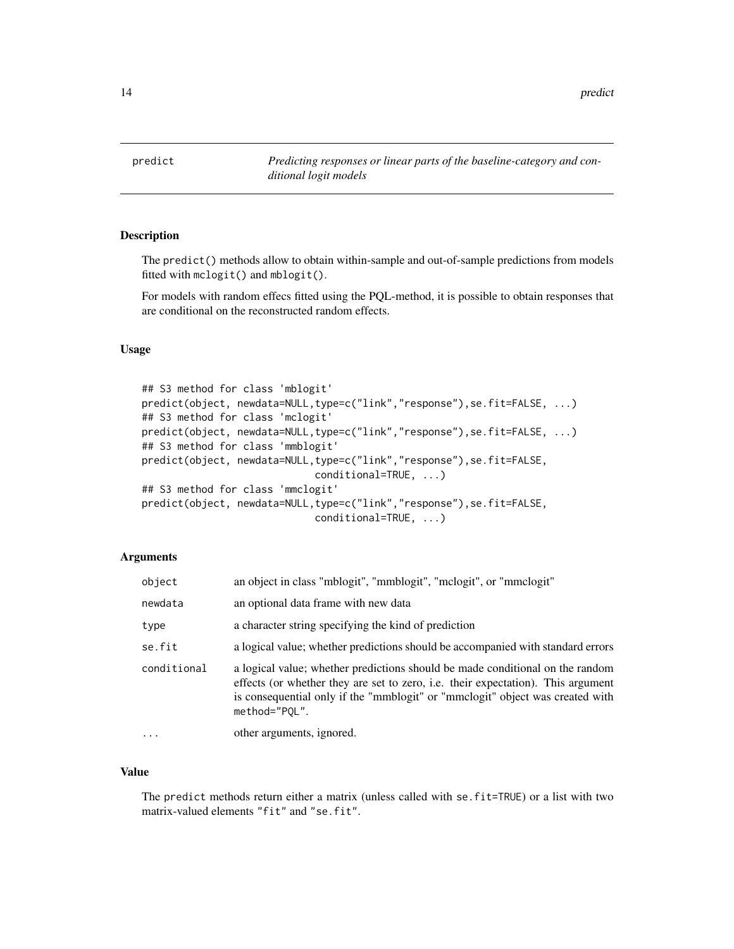<span id="page-13-0"></span>predict *Predicting responses or linear parts of the baseline-category and conditional logit models*

# Description

The predict() methods allow to obtain within-sample and out-of-sample predictions from models fitted with mclogit() and mblogit().

For models with random effecs fitted using the PQL-method, it is possible to obtain responses that are conditional on the reconstructed random effects.

# Usage

```
## S3 method for class 'mblogit'
predict(object, newdata=NULL,type=c("link","response"),se.fit=FALSE, ...)
## S3 method for class 'mclogit'
predict(object, newdata=NULL,type=c("link","response"),se.fit=FALSE, ...)
## S3 method for class 'mmblogit'
predict(object, newdata=NULL,type=c("link","response"),se.fit=FALSE,
                             conditional=TRUE, ...)
## S3 method for class 'mmclogit'
predict(object, newdata=NULL,type=c("link","response"),se.fit=FALSE,
                             conditional=TRUE, ...)
```
#### Arguments

| object      | an object in class "mblogit", "mmblogit", "mclogit", or "mmclogit"                                                                                                                                                                                                         |
|-------------|----------------------------------------------------------------------------------------------------------------------------------------------------------------------------------------------------------------------------------------------------------------------------|
| newdata     | an optional data frame with new data                                                                                                                                                                                                                                       |
| type        | a character string specifying the kind of prediction                                                                                                                                                                                                                       |
| se.fit      | a logical value; whether predictions should be accompanied with standard errors                                                                                                                                                                                            |
| conditional | a logical value; whether predictions should be made conditional on the random<br>effects (or whether they are set to zero, <i>i.e.</i> their expectation). This argument<br>is consequential only if the "mmblogit" or "mmclogit" object was created with<br>method="POL". |
| $\cdots$    | other arguments, ignored.                                                                                                                                                                                                                                                  |

# Value

The predict methods return either a matrix (unless called with se.fit=TRUE) or a list with two matrix-valued elements "fit" and "se.fit".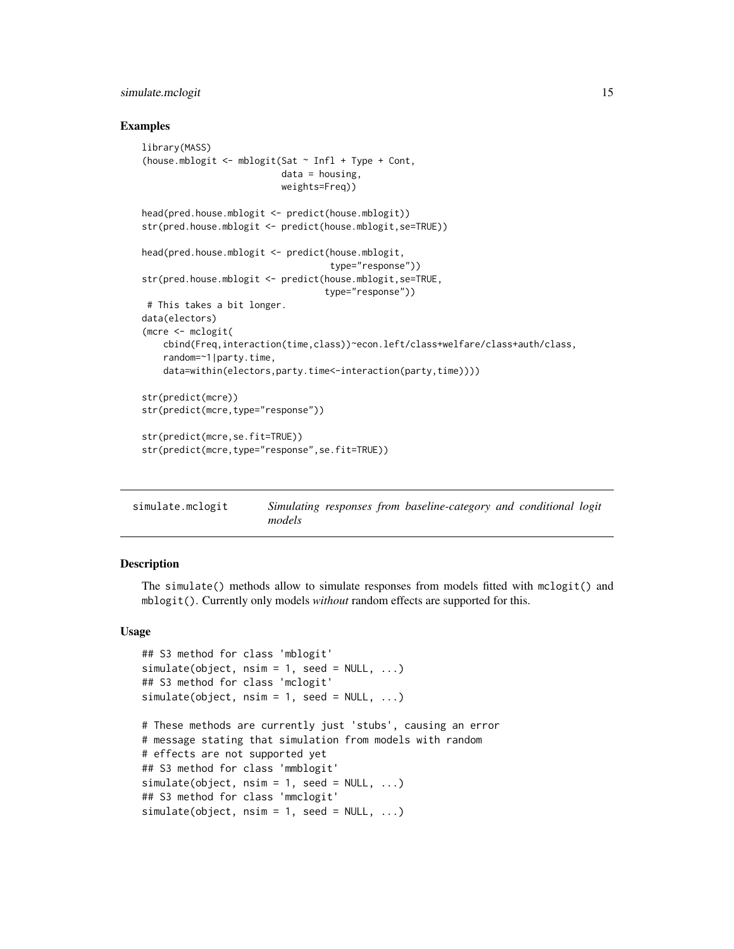#### <span id="page-14-0"></span>simulate.mclogit 15

#### Examples

```
library(MASS)
(house.mblogit <- mblogit(Sat ~ Infl + Type + Cont,
                          data = housing,
                          weights=Freq))
head(pred.house.mblogit <- predict(house.mblogit))
str(pred.house.mblogit <- predict(house.mblogit,se=TRUE))
head(pred.house.mblogit <- predict(house.mblogit,
                                   type="response"))
str(pred.house.mblogit <- predict(house.mblogit,se=TRUE,
                                  type="response"))
# This takes a bit longer.
data(electors)
(mcre <- mclogit(
   cbind(Freq,interaction(time,class))~econ.left/class+welfare/class+auth/class,
    random=~1|party.time,
    data=within(electors,party.time<-interaction(party,time))))
str(predict(mcre))
str(predict(mcre,type="response"))
str(predict(mcre,se.fit=TRUE))
str(predict(mcre,type="response",se.fit=TRUE))
```

| simulate.mclogit |        |  | Simulating responses from baseline-category and conditional logit |  |  |
|------------------|--------|--|-------------------------------------------------------------------|--|--|
|                  | models |  |                                                                   |  |  |

#### Description

The simulate() methods allow to simulate responses from models fitted with mclogit() and mblogit(). Currently only models *without* random effects are supported for this.

#### Usage

```
## S3 method for class 'mblogit'
simulate(object, nsim = 1, seed = NULL, ...)
## S3 method for class 'mclogit'
simulate(object, nsim = 1, seed = NULL, ...)
```

```
# These methods are currently just 'stubs', causing an error
# message stating that simulation from models with random
# effects are not supported yet
## S3 method for class 'mmblogit'
simulate(object, nsim = 1, seed = NULL, ...)
## S3 method for class 'mmclogit'
simulate(object, nsim = 1, seed = NULL, ...)
```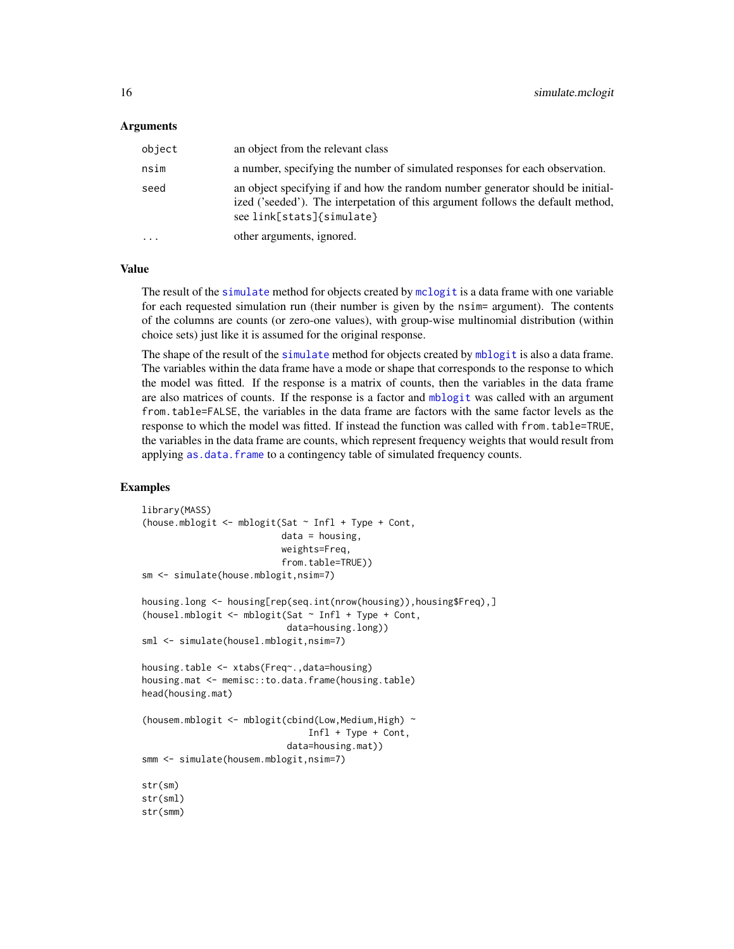#### <span id="page-15-0"></span>Arguments

| object   | an object from the relevant class                                                                                                                                                              |
|----------|------------------------------------------------------------------------------------------------------------------------------------------------------------------------------------------------|
| nsim     | a number, specifying the number of simulated responses for each observation.                                                                                                                   |
| seed     | an object specifying if and how the random number generator should be initial-<br>ized ('seeded'). The interpetation of this argument follows the default method,<br>see link[stats]{simulate} |
| $\cdots$ | other arguments, ignored.                                                                                                                                                                      |

#### Value

The result of the [simulate](#page-0-0) method for objects created by [mclogit](#page-8-1) is a data frame with one variable for each requested simulation run (their number is given by the nsim= argument). The contents of the columns are counts (or zero-one values), with group-wise multinomial distribution (within choice sets) just like it is assumed for the original response.

The shape of the result of the [simulate](#page-0-0) method for objects created by [mblogit](#page-5-1) is also a data frame. The variables within the data frame have a mode or shape that corresponds to the response to which the model was fitted. If the response is a matrix of counts, then the variables in the data frame are also matrices of counts. If the response is a factor and [mblogit](#page-5-1) was called with an argument from.table=FALSE, the variables in the data frame are factors with the same factor levels as the response to which the model was fitted. If instead the function was called with from.table=TRUE, the variables in the data frame are counts, which represent frequency weights that would result from applying [as.data.frame](#page-0-0) to a contingency table of simulated frequency counts.

# Examples

```
library(MASS)
(house.mblogit <- mblogit(Sat ~ Infl + Type + Cont,
                          data = housing,
                          weights=Freq,
                          from.table=TRUE))
sm <- simulate(house.mblogit,nsim=7)
housing.long <- housing[rep(seq.int(nrow(housing)),housing$Freq),]
(housel.mblogit <- mblogit(Sat ~ Infl + Type + Cont,
                           data=housing.long))
sml <- simulate(housel.mblogit,nsim=7)
housing.table <- xtabs(Freq~.,data=housing)
housing.mat <- memisc::to.data.frame(housing.table)
head(housing.mat)
(housem.mblogit <- mblogit(cbind(Low,Medium,High) ~
                               Infl + Type + Cont,
                           data=housing.mat))
smm <- simulate(housem.mblogit,nsim=7)
str(sm)
str(sml)
str(smm)
```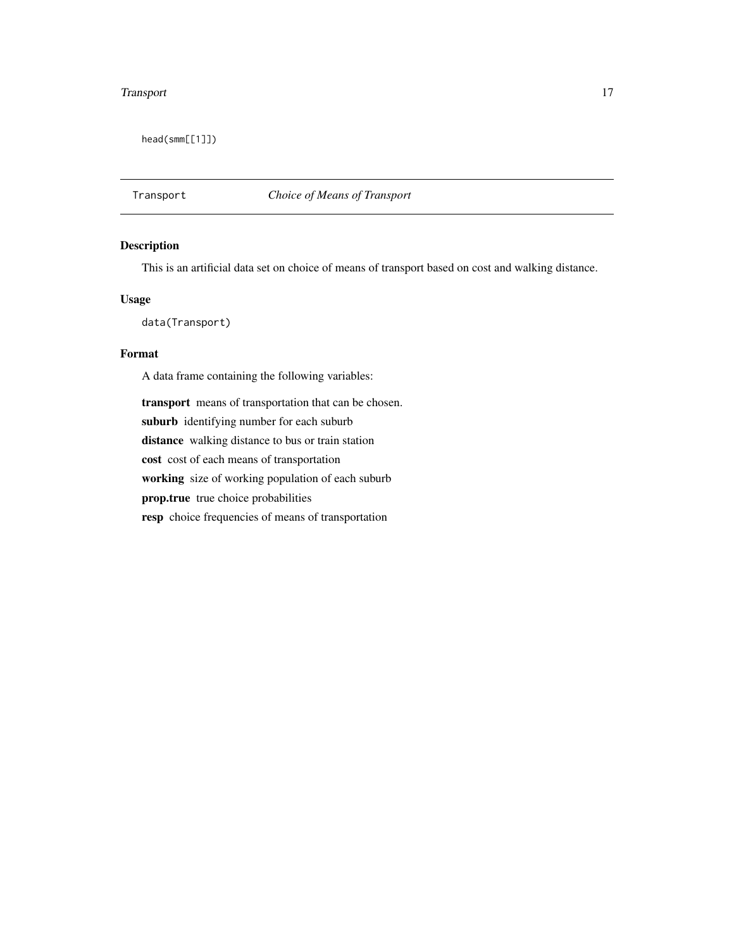#### <span id="page-16-0"></span>Transport 17

head(smm[[1]])

# Transport *Choice of Means of Transport*

# Description

This is an artificial data set on choice of means of transport based on cost and walking distance.

## Usage

data(Transport)

#### Format

A data frame containing the following variables:

transport means of transportation that can be chosen. suburb identifying number for each suburb distance walking distance to bus or train station cost cost of each means of transportation working size of working population of each suburb prop.true true choice probabilities resp choice frequencies of means of transportation